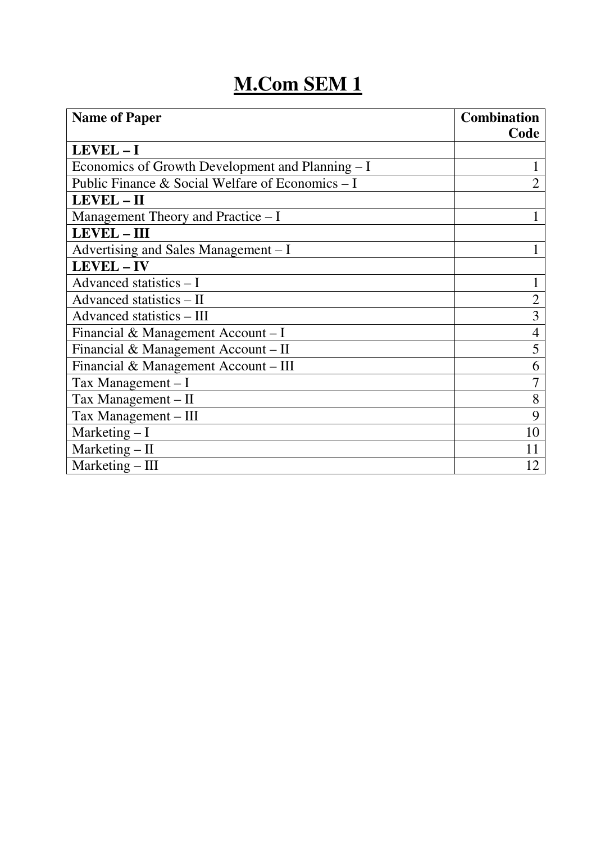| <b>Name of Paper</b>                             | <b>Combination</b> |
|--------------------------------------------------|--------------------|
|                                                  | Code               |
| LEVEL-I                                          |                    |
| Economics of Growth Development and Planning – I |                    |
| Public Finance & Social Welfare of Economics - I | $\overline{2}$     |
| LEVEL - II                                       |                    |
| Management Theory and Practice $-I$              |                    |
| <b>LEVEL-III</b>                                 |                    |
| Advertising and Sales Management – I             |                    |
| LEVEL-IV                                         |                    |
| Advanced statistics $-I$                         |                    |
| Advanced statistics - II                         |                    |
| Advanced statistics - III                        | 3                  |
| Financial & Management Account - I               | 4                  |
| Financial & Management Account - II              | 5                  |
| Financial & Management Account – III             | 6                  |
| Tax Management $-I$                              | 7                  |
| Tax Management - II                              | 8                  |
| Tax Management - III                             | 9                  |
| Marketing $-I$                                   | 10                 |
| Marketing $-$ II                                 | 11                 |
| Marketing $-$ III                                | 12                 |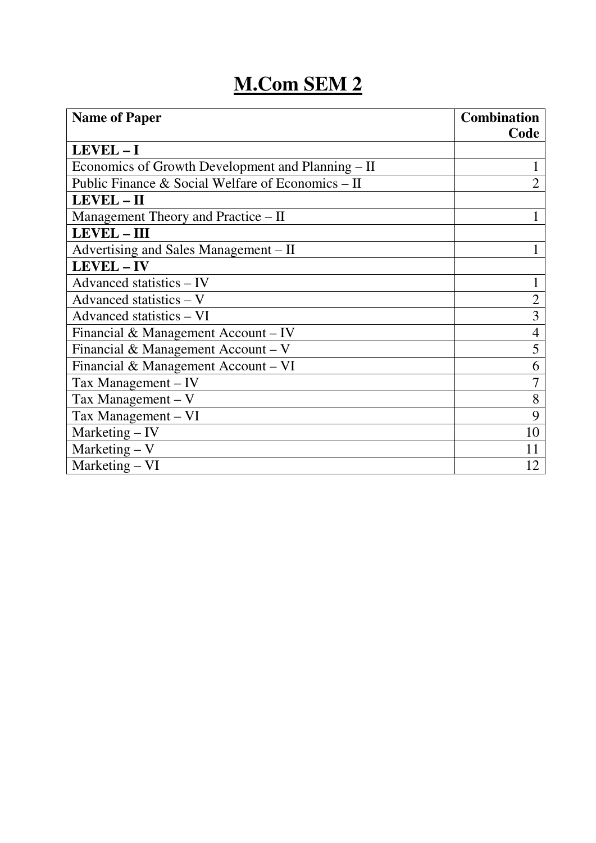| <b>Name of Paper</b>                              | <b>Combination</b> |
|---------------------------------------------------|--------------------|
|                                                   | Code               |
| LEVEL-I                                           |                    |
| Economics of Growth Development and Planning – II |                    |
| Public Finance & Social Welfare of Economics – II | $\overline{2}$     |
| LEVEL - II                                        |                    |
| Management Theory and Practice – II               |                    |
| LEVEL-III                                         |                    |
| Advertising and Sales Management – II             |                    |
| LEVEL-IV                                          |                    |
| Advanced statistics - IV                          |                    |
| Advanced statistics $- V$                         | $\mathfrak{2}$     |
| Advanced statistics - VI                          | 3                  |
| Financial & Management Account – IV               | $\overline{4}$     |
| Financial & Management Account – $V$              | 5                  |
| Financial & Management Account - VI               | 6                  |
| Tax Management – IV                               | 7                  |
| Tax Management $-$ V                              | 8                  |
| Tax Management - VI                               | 9                  |
| $Marketing - IV$                                  | 10                 |
| Marketing $- V$                                   | 11                 |
| Marketing – VI                                    | 12                 |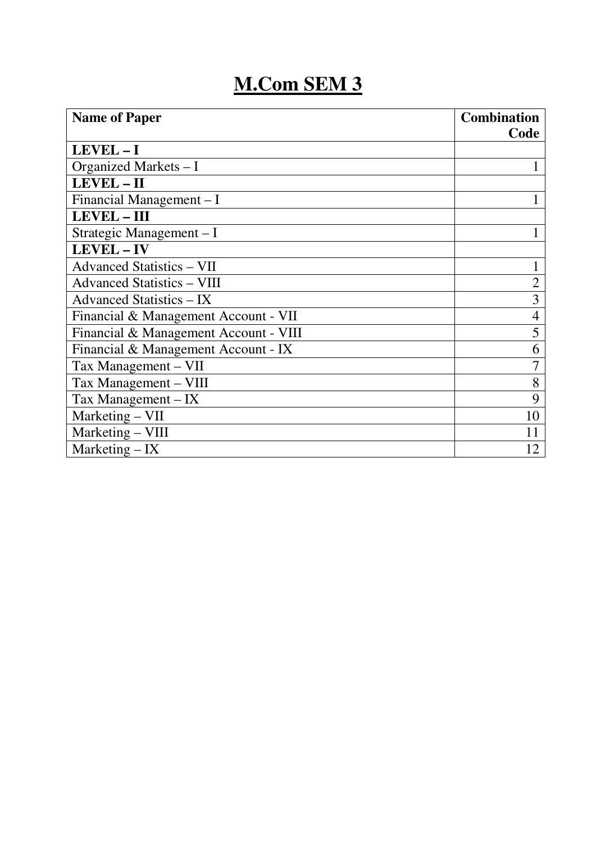| <b>Name of Paper</b>                  | <b>Combination</b> |
|---------------------------------------|--------------------|
|                                       | Code               |
| LEVEL-I                               |                    |
| Organized Markets - I                 |                    |
| LEVEL-II                              |                    |
| Financial Management – I              |                    |
| LEVEL - III                           |                    |
| Strategic Management - I              |                    |
| LEVEL-IV                              |                    |
| <b>Advanced Statistics - VII</b>      |                    |
| <b>Advanced Statistics – VIII</b>     | $\overline{2}$     |
| Advanced Statistics – IX              | $\overline{3}$     |
| Financial & Management Account - VII  | 4                  |
| Financial & Management Account - VIII | 5                  |
| Financial & Management Account - IX   | 6                  |
| Tax Management – VII                  |                    |
| Tax Management - VIII                 | 8                  |
| Tax Management $-$ IX                 | 9                  |
| Marketing - VII                       | 10                 |
| Marketing - VIII                      | 11                 |
| Marketing $-$ IX                      | 12                 |